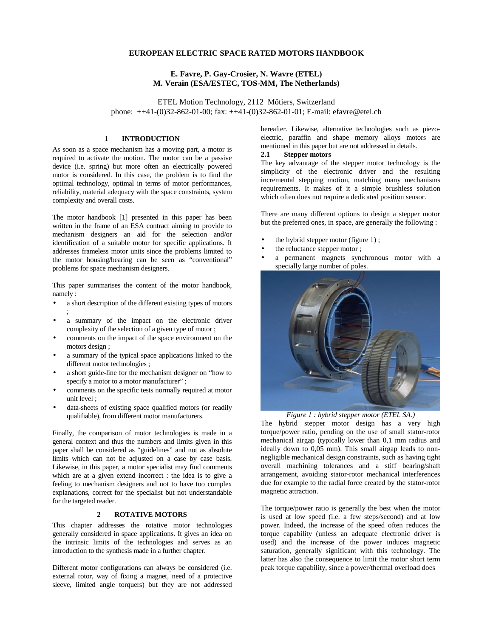# **EUROPEAN ELECTRIC SPACE RATED MOTORS HANDBOOK**

# **E. Favre, P. Gay-Crosier, N. Wavre (ETEL) M. Verain (ESA/ESTEC, TOS-MM, The Netherlands)**

ETEL Motion Technology, 2112 Môtiers, Switzerland phone: ++41-(0)32-862-01-00; fax: ++41-(0)32-862-01-01; E-mail: efavre@etel.ch

# **1 INTRODUCTION**

As soon as a space mechanism has a moving part, a motor is required to activate the motion. The motor can be a passive device (i.e. spring) but more often an electrically powered motor is considered. In this case, the problem is to find the optimal technology, optimal in terms of motor performances, reliability, material adequacy with the space constraints, system complexity and overall costs.

The motor handbook [1] presented in this paper has been written in the frame of an ESA contract aiming to provide to mechanism designers an aid for the selection and/or identification of a suitable motor for specific applications. It addresses frameless motor units since the problems limited to the motor housing/bearing can be seen as "conventional" problems for space mechanism designers.

This paper summarises the content of the motor handbook, namely :

- a short description of the different existing types of motors ;
- a summary of the impact on the electronic driver complexity of the selection of a given type of motor ;
- comments on the impact of the space environment on the motors design ;
- a summary of the typical space applications linked to the different motor technologies ;
- a short guide-line for the mechanism designer on "how to specify a motor to a motor manufacturer" ;
- comments on the specific tests normally required at motor unit level ;
- data-sheets of existing space qualified motors (or readily qualifiable), from different motor manufacturers.

Finally, the comparison of motor technologies is made in a general context and thus the numbers and limits given in this paper shall be considered as "guidelines" and not as absolute limits which can not be adjusted on a case by case basis. Likewise, in this paper, a motor specialist may find comments which are at a given extend incorrect : the idea is to give a feeling to mechanism designers and not to have too complex explanations, correct for the specialist but not understandable for the targeted reader.

## **2 ROTATIVE MOTORS**

This chapter addresses the rotative motor technologies generally considered in space applications. It gives an idea on the intrinsic limits of the technologies and serves as an introduction to the synthesis made in a further chapter.

Different motor configurations can always be considered (i.e. external rotor, way of fixing a magnet, need of a protective sleeve, limited angle torquers) but they are not addressed

hereafter. Likewise, alternative technologies such as piezoelectric, paraffin and shape memory alloys motors are mentioned in this paper but are not addressed in details.

# **2.1 Stepper motors**

The key advantage of the stepper motor technology is the simplicity of the electronic driver and the resulting incremental stepping motion, matching many mechanisms requirements. It makes of it a simple brushless solution which often does not require a dedicated position sensor.

There are many different options to design a stepper motor but the preferred ones, in space, are generally the following :

- the hybrid stepper motor (figure 1) ;
- the reluctance stepper motor;
- a permanent magnets synchronous motor with a specially large number of poles.



*Figure 1 : hybrid stepper motor (ETEL SA.)*

The hybrid stepper motor design has a very high torque/power ratio, pending on the use of small stator-rotor mechanical airgap (typically lower than 0,1 mm radius and ideally down to 0,05 mm). This small airgap leads to nonnegligible mechanical design constraints, such as having tight overall machining tolerances and a stiff bearing/shaft arrangement, avoiding stator-rotor mechanical interferences due for example to the radial force created by the stator-rotor magnetic attraction.

The torque/power ratio is generally the best when the motor is used at low speed (i.e. a few steps/second) and at low power. Indeed, the increase of the speed often reduces the torque capability (unless an adequate electronic driver is used) and the increase of the power induces magnetic saturation, generally significant with this technology. The latter has also the consequence to limit the motor short term peak torque capability, since a power/thermal overload does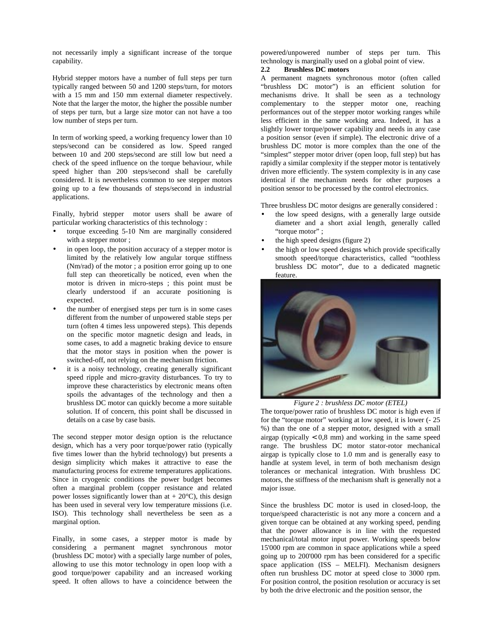not necessarily imply a significant increase of the torque capability.

Hybrid stepper motors have a number of full steps per turn typically ranged between 50 and 1200 steps/turn, for motors with a 15 mm and 150 mm external diameter respectively. Note that the larger the motor, the higher the possible number of steps per turn, but a large size motor can not have a too low number of steps per turn.

In term of working speed, a working frequency lower than 10 steps/second can be considered as low. Speed ranged between 10 and 200 steps/second are still low but need a check of the speed influence on the torque behaviour, while speed higher than 200 steps/second shall be carefully considered. It is nevertheless common to see stepper motors going up to a few thousands of steps/second in industrial applications.

Finally, hybrid stepper motor users shall be aware of particular working characteristics of this technology :

- torque exceeding 5-10 Nm are marginally considered with a stepper motor ;
- in open loop, the position accuracy of a stepper motor is limited by the relatively low angular torque stiffness (Nm/rad) of the motor ; a position error going up to one full step can theoretically be noticed, even when the motor is driven in micro-steps ; this point must be clearly understood if an accurate positioning is expected.
- the number of energised steps per turn is in some cases different from the number of unpowered stable steps per turn (often 4 times less unpowered steps). This depends on the specific motor magnetic design and leads, in some cases, to add a magnetic braking device to ensure that the motor stays in position when the power is switched-off, not relying on the mechanism friction.
- it is a noisy technology, creating generally significant speed ripple and micro-gravity disturbances. To try to improve these characteristics by electronic means often spoils the advantages of the technology and then a brushless DC motor can quickly become a more suitable solution. If of concern, this point shall be discussed in details on a case by case basis.

The second stepper motor design option is the reluctance design, which has a very poor torque/power ratio (typically five times lower than the hybrid technology) but presents a design simplicity which makes it attractive to ease the manufacturing process for extreme temperatures applications. Since in cryogenic conditions the power budget becomes often a marginal problem (copper resistance and related power losses significantly lower than at  $+ 20^{\circ}$ C), this design has been used in several very low temperature missions (i.e. ISO). This technology shall nevertheless be seen as a marginal option.

Finally, in some cases, a stepper motor is made by considering a permanent magnet synchronous motor (brushless DC motor) with a specially large number of poles, allowing to use this motor technology in open loop with a good torque/power capability and an increased working speed. It often allows to have a coincidence between the

powered/unpowered number of steps per turn. This technology is marginally used on a global point of view.

# **2.2 Brushless DC motors**

A permanent magnets synchronous motor (often called "brushless DC motor") is an efficient solution for mechanisms drive. It shall be seen as a technology complementary to the stepper motor one, reaching performances out of the stepper motor working ranges while less efficient in the same working area. Indeed, it has a slightly lower torque/power capability and needs in any case a position sensor (even if simple). The electronic drive of a brushless DC motor is more complex than the one of the "simplest" stepper motor driver (open loop, full step) but has rapidly a similar complexity if the stepper motor is tentatively driven more efficiently. The system complexity is in any case identical if the mechanism needs for other purposes a position sensor to be processed by the control electronics.

Three brushless DC motor designs are generally considered :

- the low speed designs, with a generally large outside diameter and a short axial length, generally called "torque motor" :
- the high speed designs (figure 2)
- the high or low speed designs which provide specifically smooth speed/torque characteristics, called "toothless brushless DC motor", due to a dedicated magnetic feature.



*Figure 2 : brushless DC motor (ETEL)*

The torque/power ratio of brushless DC motor is high even if for the "torque motor" working at low speed, it is lower (- 25 %) than the one of a stepper motor, designed with a small airgap (typically  $< 0.8$  mm) and working in the same speed range. The brushless DC motor stator-rotor mechanical airgap is typically close to 1.0 mm and is generally easy to handle at system level, in term of both mechanism design tolerances or mechanical integration. With brushless DC motors, the stiffness of the mechanism shaft is generally not a major issue.

Since the brushless DC motor is used in closed-loop, the torque/speed characteristic is not any more a concern and a given torque can be obtained at any working speed, pending that the power allowance is in line with the requested mechanical/total motor input power. Working speeds below 15'000 rpm are common in space applications while a speed going up to 200'000 rpm has been considered for a specific space application (ISS – MELFI). Mechanism designers often run brushless DC motor at speed close to 3000 rpm. For position control, the position resolution or accuracy is set by both the drive electronic and the position sensor, the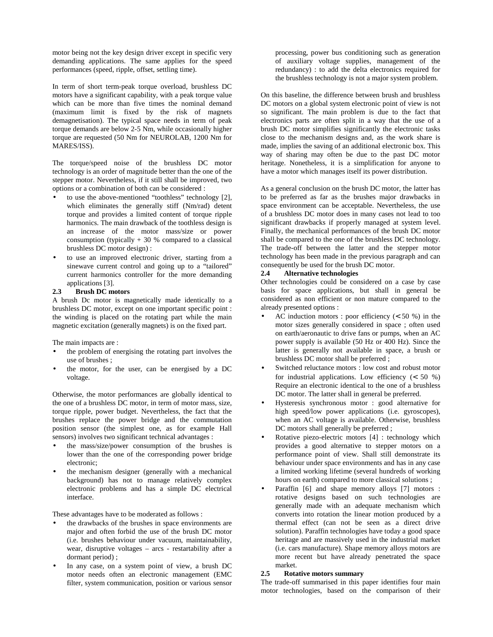motor being not the key design driver except in specific very demanding applications. The same applies for the speed performances (speed, ripple, offset, settling time).

In term of short term-peak torque overload, brushless DC motors have a significant capability, with a peak torque value which can be more than five times the nominal demand (maximum limit is fixed by the risk of magnets demagnetisation). The typical space needs in term of peak torque demands are below 2-5 Nm, while occasionally higher torque are requested (50 Nm for NEUROLAB, 1200 Nm for MARES/ISS).

The torque/speed noise of the brushless DC motor technology is an order of magnitude better than the one of the stepper motor. Nevertheless, if it still shall be improved, two options or a combination of both can be considered :

- to use the above-mentioned "toothless" technology [2], which eliminates the generally stiff (Nm/rad) detent torque and provides a limited content of torque ripple harmonics. The main drawback of the toothless design is an increase of the motor mass/size or power consumption (typically  $+30%$  compared to a classical brushless DC motor design) :
- to use an improved electronic driver, starting from a sinewave current control and going up to a "tailored" current harmonics controller for the more demanding applications [3].

# **2.3 Brush DC motors**

A brush Dc motor is magnetically made identically to a brushless DC motor, except on one important specific point : the winding is placed on the rotating part while the main magnetic excitation (generally magnets) is on the fixed part.

The main impacts are :

- the problem of energising the rotating part involves the use of brushes ;
- the motor, for the user, can be energised by a DC voltage.

Otherwise, the motor performances are globally identical to the one of a brushless DC motor, in term of motor mass, size, torque ripple, power budget. Nevertheless, the fact that the brushes replace the power bridge and the commutation position sensor (the simplest one, as for example Hall sensors) involves two significant technical advantages :

- the mass/size/power consumption of the brushes is lower than the one of the corresponding power bridge electronic;
- the mechanism designer (generally with a mechanical background) has not to manage relatively complex electronic problems and has a simple DC electrical interface.

These advantages have to be moderated as follows :

- the drawbacks of the brushes in space environments are major and often forbid the use of the brush DC motor (i.e. brushes behaviour under vacuum, maintainability, wear, disruptive voltages – arcs - restartability after a dormant period) ;
- In any case, on a system point of view, a brush DC motor needs often an electronic management (EMC filter, system communication, position or various sensor

processing, power bus conditioning such as generation of auxiliary voltage supplies, management of the redundancy) : to add the delta electronics required for the brushless technology is not a major system problem.

On this baseline, the difference between brush and brushless DC motors on a global system electronic point of view is not so significant. The main problem is due to the fact that electronics parts are often split in a way that the use of a brush DC motor simplifies significantly the electronic tasks close to the mechanism designs and, as the work share is made, implies the saving of an additional electronic box. This way of sharing may often be due to the past DC motor heritage. Nonetheless, it is a simplification for anyone to have a motor which manages itself its power distribution.

As a general conclusion on the brush DC motor, the latter has to be preferred as far as the brushes major drawbacks in space environment can be acceptable. Nevertheless, the use of a brushless DC motor does in many cases not lead to too significant drawbacks if properly managed at system level. Finally, the mechanical performances of the brush DC motor shall be compared to the one of the brushless DC technology. The trade-off between the latter and the stepper motor technology has been made in the previous paragraph and can consequently be used for the brush DC motor.

#### **2.4 Alternative technologies**

Other technologies could be considered on a case by case basis for space applications, but shall in general be considered as non efficient or non mature compared to the already presented options :

- AC induction motors : poor efficiency  $(< 50 %$ ) in the motor sizes generally considered in space ; often used on earth/aeronautic to drive fans or pumps, when an AC power supply is available (50 Hz or 400 Hz). Since the latter is generally not available in space, a brush or brushless DC motor shall be preferred ;
- Switched reluctance motors : low cost and robust motor for industrial applications. Low efficiency  $\left($  < 50 %) Require an electronic identical to the one of a brushless DC motor. The latter shall in general be preferred.
- Hysteresis synchronous motor : good alternative for high speed/low power applications (i.e. gyroscopes), when an AC voltage is available. Otherwise, brushless DC motors shall generally be preferred ;
- Rotative piezo-electric motors [4] : technology which provides a good alternative to stepper motors on a performance point of view. Shall still demonstrate its behaviour under space environments and has in any case a limited working lifetime (several hundreds of working hours on earth) compared to more classical solutions ;
- Paraffin [6] and shape memory alloys [7] motors : rotative designs based on such technologies are generally made with an adequate mechanism which converts into rotation the linear motion produced by a thermal effect (can not be seen as a direct drive solution). Paraffin technologies have today a good space heritage and are massively used in the industrial market (i.e. cars manufacture). Shape memory alloys motors are more recent but have already penetrated the space market.

#### **2.5 Rotative motors summary**

The trade-off summarised in this paper identifies four main motor technologies, based on the comparison of their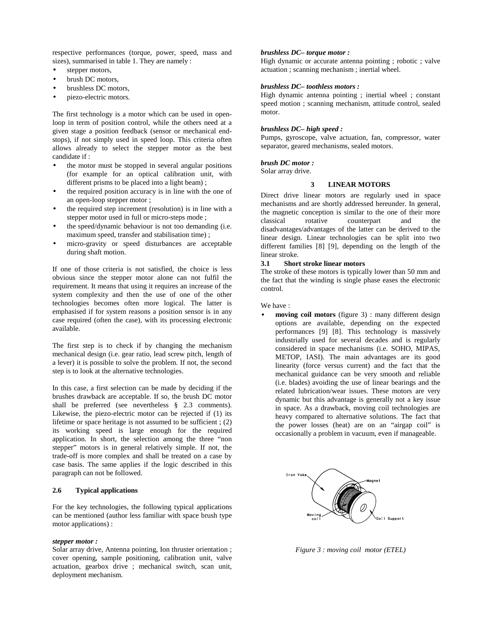respective performances (torque, power, speed, mass and sizes), summarised in table 1. They are namely :

- stepper motors,
- brush DC motors,
- brushless DC motors,
- piezo-electric motors.

The first technology is a motor which can be used in openloop in term of position control, while the others need at a given stage a position feedback (sensor or mechanical endstops), if not simply used in speed loop. This criteria often allows already to select the stepper motor as the best candidate if :

- the motor must be stopped in several angular positions (for example for an optical calibration unit, with different prisms to be placed into a light beam) ;
- the required position accuracy is in line with the one of an open-loop stepper motor ;
- the required step increment (resolution) is in line with a stepper motor used in full or micro-steps mode ;
- the speed/dynamic behaviour is not too demanding (i.e. maximum speed, transfer and stabilisation time) ;
- micro-gravity or speed disturbances are acceptable during shaft motion.

If one of those criteria is not satisfied, the choice is less obvious since the stepper motor alone can not fulfil the requirement. It means that using it requires an increase of the system complexity and then the use of one of the other technologies becomes often more logical. The latter is emphasised if for system reasons a position sensor is in any case required (often the case), with its processing electronic available.

The first step is to check if by changing the mechanism mechanical design (i.e. gear ratio, lead screw pitch, length of a lever) it is possible to solve the problem. If not, the second step is to look at the alternative technologies.

In this case, a first selection can be made by deciding if the brushes drawback are acceptable. If so, the brush DC motor shall be preferred (see nevertheless § 2.3 comments). Likewise, the piezo-electric motor can be rejected if (1) its lifetime or space heritage is not assumed to be sufficient ; (2) its working speed is large enough for the required application. In short, the selection among the three "non stepper" motors is in general relatively simple. If not, the trade-off is more complex and shall be treated on a case by case basis. The same applies if the logic described in this paragraph can not be followed.

# **2.6 Typical applications**

For the key technologies, the following typical applications can be mentioned (author less familiar with space brush type motor applications) :

## *stepper motor :*

Solar array drive, Antenna pointing, Ion thruster orientation ; cover opening, sample positioning, calibration unit, valve actuation, gearbox drive ; mechanical switch, scan unit, deployment mechanism.

# *brushless DC– torque motor :*

High dynamic or accurate antenna pointing ; robotic ; valve actuation ; scanning mechanism ; inertial wheel.

### *brushless DC– toothless motors :*

High dynamic antenna pointing ; inertial wheel ; constant speed motion ; scanning mechanism, attitude control, sealed motor.

### *brushless DC– high speed :*

Pumps, gyroscope, valve actuation, fan, compressor, water separator, geared mechanisms, sealed motors.

## *brush DC motor :*

Solar array drive.

## **3 LINEAR MOTORS**

Direct drive linear motors are regularly used in space mechanisms and are shortly addressed hereunder. In general, the magnetic conception is similar to the one of their more classical rotative counterpart and the disadvantages/advantages of the latter can be derived to the linear design. Linear technologies can be split into two different families [8] [9], depending on the length of the linear stroke.

#### **3.1 Short stroke linear motors**

The stroke of these motors is typically lower than 50 mm and the fact that the winding is single phase eases the electronic control.

#### We have :

moving coil motors (figure 3) : many different design options are available, depending on the expected performances [9] [8]. This technology is massively industrially used for several decades and is regularly considered in space mechanisms (i.e. SOHO, MIPAS, METOP, IASI). The main advantages are its good linearity (force versus current) and the fact that the mechanical guidance can be very smooth and reliable (i.e. blades) avoiding the use of linear bearings and the related lubrication/wear issues. These motors are very dynamic but this advantage is generally not a key issue in space. As a drawback, moving coil technologies are heavy compared to alternative solutions. The fact that the power losses (heat) are on an "airgap coil" is occasionally a problem in vacuum, even if manageable.



*Figure 3 : moving coil motor (ETEL)*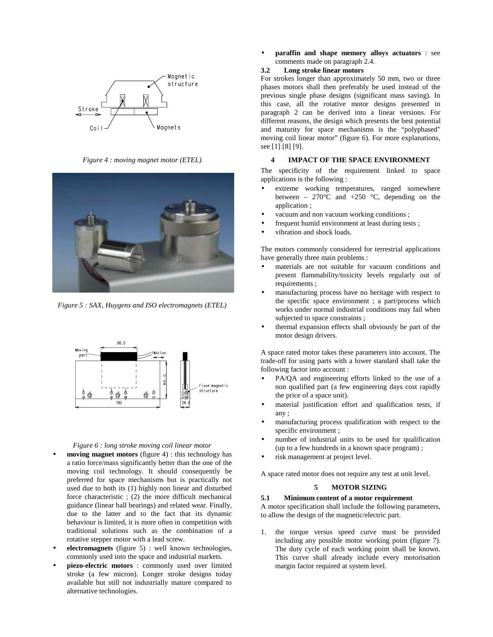

*Figure 4 : moving magnet motor (ETEL)*



*Figure 5 : SAX, Huygens and ISO electromagnets (ETEL)*



### *Figure 6 : long stroke moving coil linear motor*

- **moving magnet motors** (figure 4) : this technology has a ratio force/mass significantly better than the one of the moving coil technology. It should consequently be preferred for space mechanisms but is practically not used due to both its (1) highly non linear and disturbed force characteristic ; (2) the more difficult mechanical guidance (linear ball bearings) and related wear. Finally, due to the latter and to the fact that its dynamic behaviour is limited, it is more often in competition with traditional solutions such as the combination of a rotative stepper motor with a lead screw.
- **electromagnets** (figure 5) : well known technologies, commonly used into the space and industrial markets.
- **piezo-electric motors** : commonly used over limited stroke (a few micron). Longer stroke designs today available but still not industrially mature compared to alternative technologies.

• **paraffin and shape memory alloys actuators** : see comments made on paragraph 2.4.

# **3.2 Long stroke linear motors**

For strokes longer than approximately 50 mm, two or three phases motors shall then preferably be used instead of the previous single phase designs (significant mass saving). In this case, all the rotative motor designs presented in paragraph 2 can be derived into a linear versions. For different reasons, the design which presents the best potential and maturity for space mechanisms is the "polyphased" moving coil linear motor" (figure 6). For more explanations, see [1] [8] [9].

# **4 IMPACT OF THE SPACE ENVIRONMENT**

The specificity of the requirement linked to space applications is the following :

- extreme working temperatures, ranged somewhere between – 270 $\degree$ C and +250  $\degree$ C, depending on the application ;
- vacuum and non vacuum working conditions;
- frequent humid environment at least during tests;
- vibration and shock loads.

The motors commonly considered for terrestrial applications have generally three main problems :

- materials are not suitable for vacuum conditions and present flammability/toxicity levels regularly out of requirements ;
- manufacturing process have no heritage with respect to the specific space environment ; a part/process which works under normal industrial conditions may fail when subjected to space constraints ;
- thermal expansion effects shall obviously be part of the motor design drivers.

A space rated motor takes these parameters into account. The trade-off for using parts with a lower standard shall take the following factor into account :

- PA/QA and engineering efforts linked to the use of a non qualified part (a few engineering days cost rapidly the price of a space unit).
- material justification effort and qualification tests, if any ;
- manufacturing process qualification with respect to the specific environment ;
- number of industrial units to be used for qualification (up to a few hundreds in a known space program) ;
- risk management at project level.

A space rated motor does not require any test at unit level.

## **5 MOTOR SIZING**

#### **5.1 Minimum content of a motor requirement**

A motor specification shall include the following parameters, to allow the design of the magnetic/electric part.

1. the torque versus speed curve must be provided including any possible motor working point (figure 7). The duty cycle of each working point shall be known. This curve shall already include every motorisation margin factor required at system level.